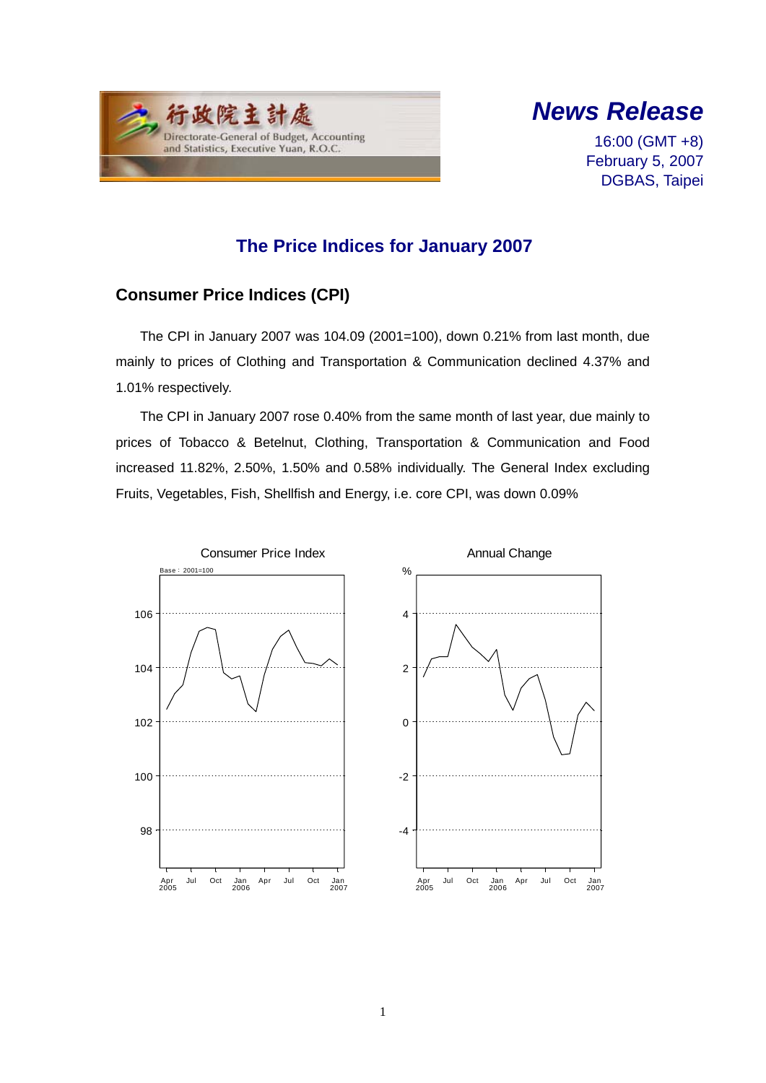



16:00 (GMT +8) February 5, 2007 DGBAS, Taipei

## **The Price Indices for January 2007**

### **Consumer Price Indices (CPI)**

The CPI in January 2007 was 104.09 (2001=100), down 0.21% from last month, due mainly to prices of Clothing and Transportation & Communication declined 4.37% and 1.01% respectively.

The CPI in January 2007 rose 0.40% from the same month of last year, due mainly to prices of Tobacco & Betelnut, Clothing, Transportation & Communication and Food increased 11.82%, 2.50%, 1.50% and 0.58% individually. The General Index excluding Fruits, Vegetables, Fish, Shellfish and Energy, i.e. core CPI, was down 0.09%

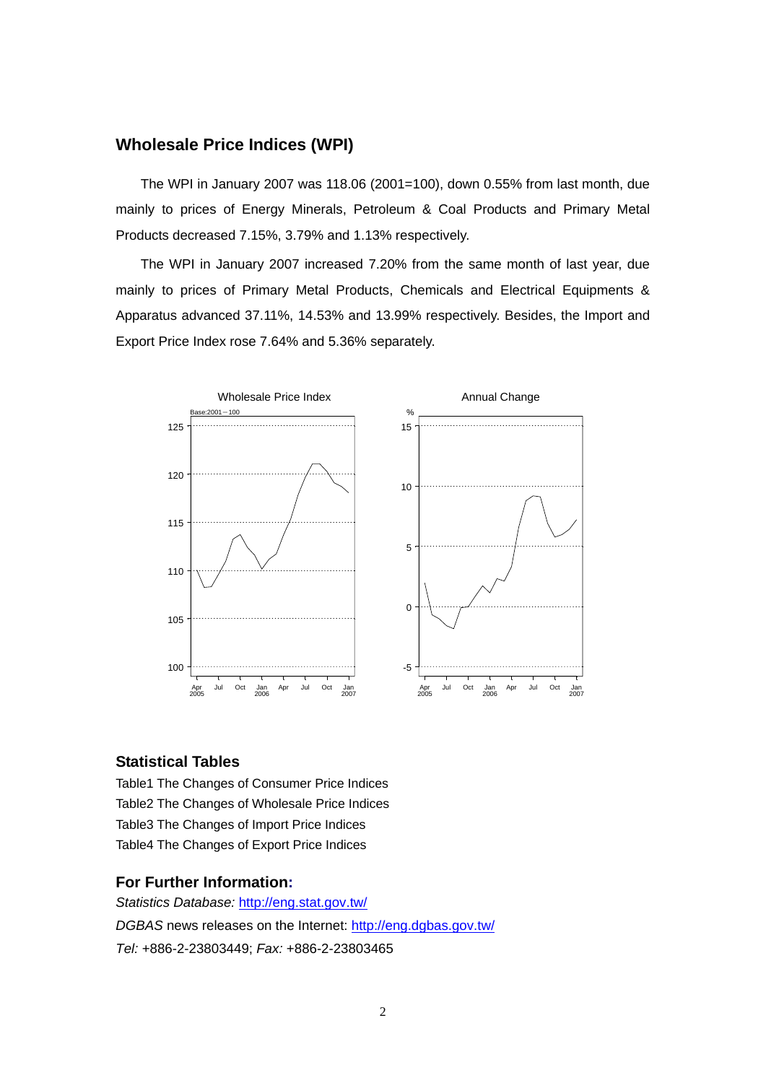#### **Wholesale Price Indices (WPI)**

The WPI in January 2007 was 118.06 (2001=100), down 0.55% from last month, due mainly to prices of Energy Minerals, Petroleum & Coal Products and Primary Metal Products decreased 7.15%, 3.79% and 1.13% respectively.

The WPI in January 2007 increased 7.20% from the same month of last year, due mainly to prices of Primary Metal Products, Chemicals and Electrical Equipments & Apparatus advanced 37.11%, 14.53% and 13.99% respectively. Besides, the Import and Export Price Index rose 7.64% and 5.36% separately.



#### **Statistical Tables**

Table1 The Changes of Consumer Price Indices Table2 The Changes of Wholesale Price Indices Table3 The Changes of Import Price Indices Table4 The Changes of Export Price Indices

#### **For Further Information:**

*Statistics Database:* http://eng.stat.gov.tw/ *DGBAS* news releases on the Internet: http://eng.dgbas.gov.tw/ *Tel:* +886-2-23803449; *Fax:* +886-2-23803465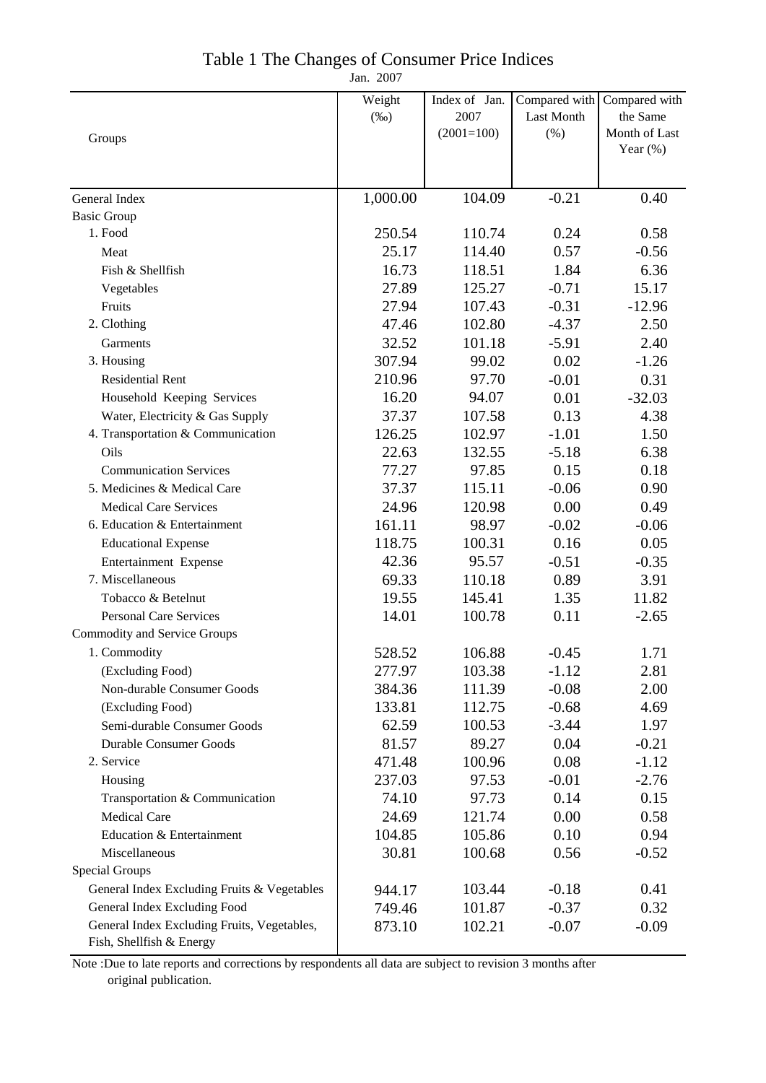## Table 1 The Changes of Consumer Price Indices

Jan. 2007

|                                                                         | Weight   | Index of Jan. | Compared with | Compared with |
|-------------------------------------------------------------------------|----------|---------------|---------------|---------------|
|                                                                         | $(\%0)$  | 2007          | Last Month    | the Same      |
| Groups                                                                  |          | $(2001=100)$  | $(\% )$       | Month of Last |
|                                                                         |          |               |               | Year $(\%)$   |
|                                                                         |          |               |               |               |
| General Index                                                           | 1,000.00 | 104.09        | $-0.21$       | 0.40          |
| <b>Basic Group</b>                                                      |          |               |               |               |
| 1. Food                                                                 | 250.54   | 110.74        | 0.24          | 0.58          |
| Meat                                                                    | 25.17    | 114.40        | 0.57          | $-0.56$       |
| Fish & Shellfish                                                        | 16.73    | 118.51        | 1.84          | 6.36          |
| Vegetables                                                              | 27.89    | 125.27        | $-0.71$       | 15.17         |
| Fruits                                                                  | 27.94    | 107.43        | $-0.31$       | $-12.96$      |
| 2. Clothing                                                             | 47.46    | 102.80        | $-4.37$       | 2.50          |
| Garments                                                                | 32.52    | 101.18        | $-5.91$       | 2.40          |
| 3. Housing                                                              | 307.94   | 99.02         | 0.02          | $-1.26$       |
| <b>Residential Rent</b>                                                 | 210.96   | 97.70         | $-0.01$       | 0.31          |
| Household Keeping Services                                              | 16.20    | 94.07         | 0.01          | $-32.03$      |
| Water, Electricity & Gas Supply                                         | 37.37    | 107.58        | 0.13          | 4.38          |
| 4. Transportation & Communication                                       | 126.25   | 102.97        | $-1.01$       | 1.50          |
| Oils                                                                    | 22.63    | 132.55        | $-5.18$       | 6.38          |
| <b>Communication Services</b>                                           | 77.27    | 97.85         | 0.15          | 0.18          |
| 5. Medicines & Medical Care                                             | 37.37    | 115.11        | $-0.06$       | 0.90          |
| <b>Medical Care Services</b>                                            | 24.96    | 120.98        | 0.00          | 0.49          |
| 6. Education & Entertainment                                            | 161.11   | 98.97         | $-0.02$       | $-0.06$       |
| <b>Educational Expense</b>                                              | 118.75   | 100.31        | 0.16          | 0.05          |
| Entertainment Expense                                                   | 42.36    | 95.57         | $-0.51$       | $-0.35$       |
| 7. Miscellaneous                                                        | 69.33    | 110.18        | 0.89          | 3.91          |
| Tobacco & Betelnut                                                      | 19.55    | 145.41        | 1.35          | 11.82         |
| <b>Personal Care Services</b>                                           | 14.01    | 100.78        | 0.11          | $-2.65$       |
| <b>Commodity and Service Groups</b>                                     |          |               |               |               |
| 1. Commodity                                                            | 528.52   | 106.88        | $-0.45$       | 1.71          |
| (Excluding Food)                                                        | 277.97   | 103.38        | $-1.12$       | 2.81          |
| Non-durable Consumer Goods                                              | 384.36   | 111.39        | $-0.08$       | 2.00          |
| (Excluding Food)                                                        | 133.81   | 112.75        | $-0.68$       | 4.69          |
| Semi-durable Consumer Goods                                             | 62.59    | 100.53        | $-3.44$       | 1.97          |
| <b>Durable Consumer Goods</b>                                           | 81.57    | 89.27         | 0.04          | $-0.21$       |
| 2. Service                                                              | 471.48   | 100.96        | 0.08          | $-1.12$       |
| Housing                                                                 | 237.03   | 97.53         | $-0.01$       | $-2.76$       |
| Transportation & Communication                                          | 74.10    | 97.73         | 0.14          | 0.15          |
| <b>Medical Care</b>                                                     | 24.69    | 121.74        | 0.00          | 0.58          |
| Education & Entertainment                                               | 104.85   | 105.86        | 0.10          | 0.94          |
| Miscellaneous                                                           | 30.81    | 100.68        | 0.56          | $-0.52$       |
| Special Groups                                                          |          |               |               |               |
| General Index Excluding Fruits & Vegetables                             | 944.17   | 103.44        | $-0.18$       | 0.41          |
| General Index Excluding Food                                            | 749.46   | 101.87        | $-0.37$       | 0.32          |
| General Index Excluding Fruits, Vegetables,<br>Fish, Shellfish & Energy | 873.10   | 102.21        | $-0.07$       | $-0.09$       |

Note :Due to late reports and corrections by respondents all data are subject to revision 3 months after original publication.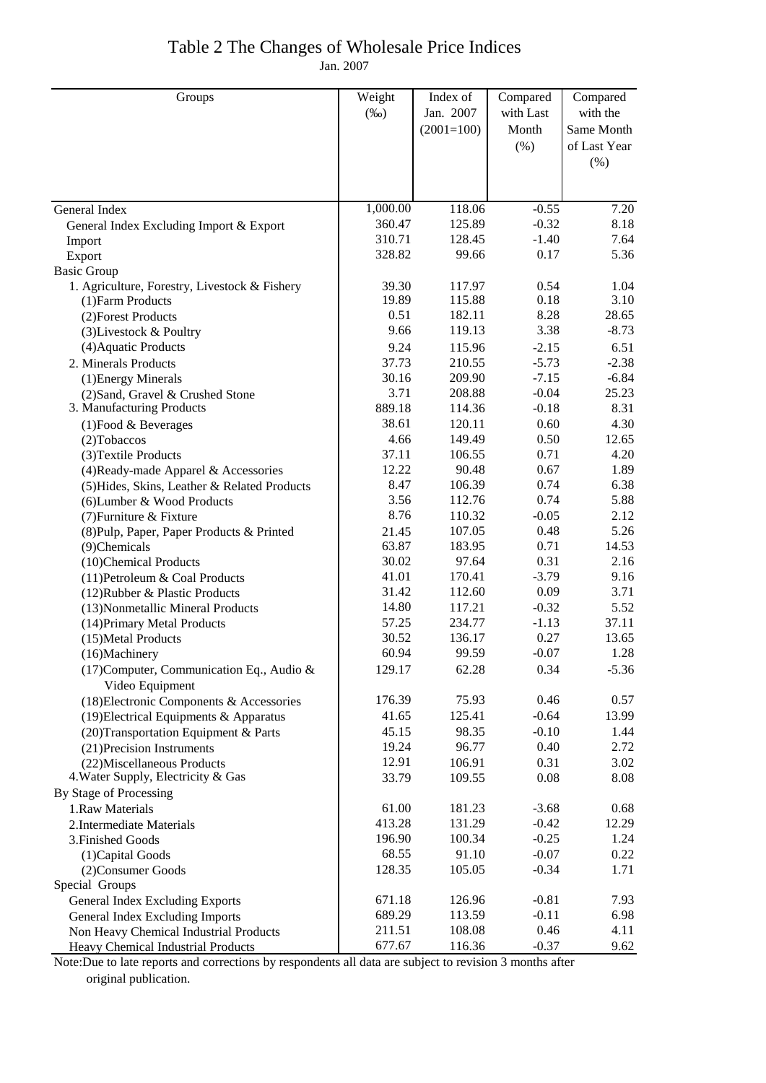### Table 2 The Changes of Wholesale Price Indices

Jan. 2007

| Groups                                                          | Weight   | Index of     | Compared  | Compared     |
|-----------------------------------------------------------------|----------|--------------|-----------|--------------|
|                                                                 | $(\%0)$  | Jan. 2007    | with Last | with the     |
|                                                                 |          | $(2001=100)$ | Month     | Same Month   |
|                                                                 |          |              |           |              |
|                                                                 |          |              | $(\% )$   | of Last Year |
|                                                                 |          |              |           | (% )         |
|                                                                 |          |              |           |              |
| General Index                                                   | 1,000.00 | 118.06       | $-0.55$   | 7.20         |
| General Index Excluding Import & Export                         | 360.47   | 125.89       | $-0.32$   | 8.18         |
| Import                                                          | 310.71   | 128.45       | $-1.40$   | 7.64         |
| Export                                                          | 328.82   | 99.66        | 0.17      | 5.36         |
| <b>Basic Group</b>                                              |          |              |           |              |
| 1. Agriculture, Forestry, Livestock & Fishery                   | 39.30    | 117.97       | 0.54      | 1.04         |
| (1) Farm Products                                               | 19.89    | 115.88       | 0.18      | 3.10         |
| (2) Forest Products                                             | 0.51     | 182.11       | 8.28      | 28.65        |
| (3) Livestock & Poultry                                         | 9.66     | 119.13       | 3.38      | $-8.73$      |
| (4) Aquatic Products                                            | 9.24     | 115.96       | $-2.15$   | 6.51         |
| 2. Minerals Products                                            | 37.73    | 210.55       | $-5.73$   | $-2.38$      |
| (1) Energy Minerals                                             | 30.16    | 209.90       | $-7.15$   | $-6.84$      |
| (2) Sand, Gravel & Crushed Stone                                | 3.71     | 208.88       | $-0.04$   | 25.23        |
| 3. Manufacturing Products                                       | 889.18   | 114.36       | $-0.18$   | 8.31         |
| $(1)$ Food & Beverages                                          | 38.61    | 120.11       | 0.60      | 4.30         |
| (2) Tobaccos                                                    | 4.66     | 149.49       | 0.50      | 12.65        |
| (3) Textile Products                                            | 37.11    | 106.55       | 0.71      | 4.20         |
|                                                                 | 12.22    | 90.48        | 0.67      | 1.89         |
| (4) Ready-made Apparel & Accessories                            | 8.47     | 106.39       | 0.74      | 6.38         |
| (5) Hides, Skins, Leather & Related Products                    | 3.56     | 112.76       | 0.74      | 5.88         |
| (6) Lumber & Wood Products                                      | 8.76     | 110.32       | $-0.05$   | 2.12         |
| (7) Furniture & Fixture                                         |          | 107.05       | 0.48      | 5.26         |
| (8) Pulp, Paper, Paper Products & Printed                       | 21.45    |              |           |              |
| (9)Chemicals                                                    | 63.87    | 183.95       | 0.71      | 14.53        |
| (10)Chemical Products                                           | 30.02    | 97.64        | 0.31      | 2.16         |
| (11) Petroleum & Coal Products                                  | 41.01    | 170.41       | $-3.79$   | 9.16         |
| (12) Rubber & Plastic Products                                  | 31.42    | 112.60       | 0.09      | 3.71         |
| (13) Nonmetallic Mineral Products                               | 14.80    | 117.21       | $-0.32$   | 5.52         |
| (14) Primary Metal Products                                     | 57.25    | 234.77       | $-1.13$   | 37.11        |
| (15) Metal Products                                             | 30.52    | 136.17       | 0.27      | 13.65        |
| (16)Machinery                                                   | 60.94    | 99.59        | $-0.07$   | 1.28         |
| (17) Computer, Communication Eq., Audio $\&$<br>Video Equipment | 129.17   | 62.28        | 0.34      | $-5.36$      |
| (18) Electronic Components & Accessories                        | 176.39   | 75.93        | 0.46      | 0.57         |
| (19) Electrical Equipments & Apparatus                          | 41.65    | 125.41       | $-0.64$   | 13.99        |
| (20) Transportation Equipment & Parts                           | 45.15    | 98.35        | $-0.10$   | 1.44         |
| (21) Precision Instruments                                      | 19.24    | 96.77        | 0.40      | 2.72         |
| (22) Miscellaneous Products                                     | 12.91    | 106.91       | 0.31      | 3.02         |
| 4. Water Supply, Electricity & Gas                              | 33.79    | 109.55       | 0.08      | 8.08         |
| By Stage of Processing                                          |          |              |           |              |
| 1.Raw Materials                                                 | 61.00    | 181.23       | $-3.68$   | 0.68         |
| 2. Intermediate Materials                                       | 413.28   | 131.29       | $-0.42$   | 12.29        |
| 3. Finished Goods                                               | 196.90   | 100.34       | $-0.25$   | 1.24         |
| (1) Capital Goods                                               | 68.55    | 91.10        | $-0.07$   | 0.22         |
|                                                                 | 128.35   | 105.05       | $-0.34$   | 1.71         |
| (2) Consumer Goods<br>Special Groups                            |          |              |           |              |
|                                                                 | 671.18   | 126.96       | $-0.81$   | 7.93         |
| General Index Excluding Exports                                 | 689.29   | 113.59       | $-0.11$   | 6.98         |
| <b>General Index Excluding Imports</b>                          | 211.51   | 108.08       | 0.46      | 4.11         |
| Non Heavy Chemical Industrial Products                          | 677.67   | 116.36       | $-0.37$   | 9.62         |
| Heavy Chemical Industrial Products                              |          |              |           |              |

Note:Due to late reports and corrections by respondents all data are subject to revision 3 months after original publication.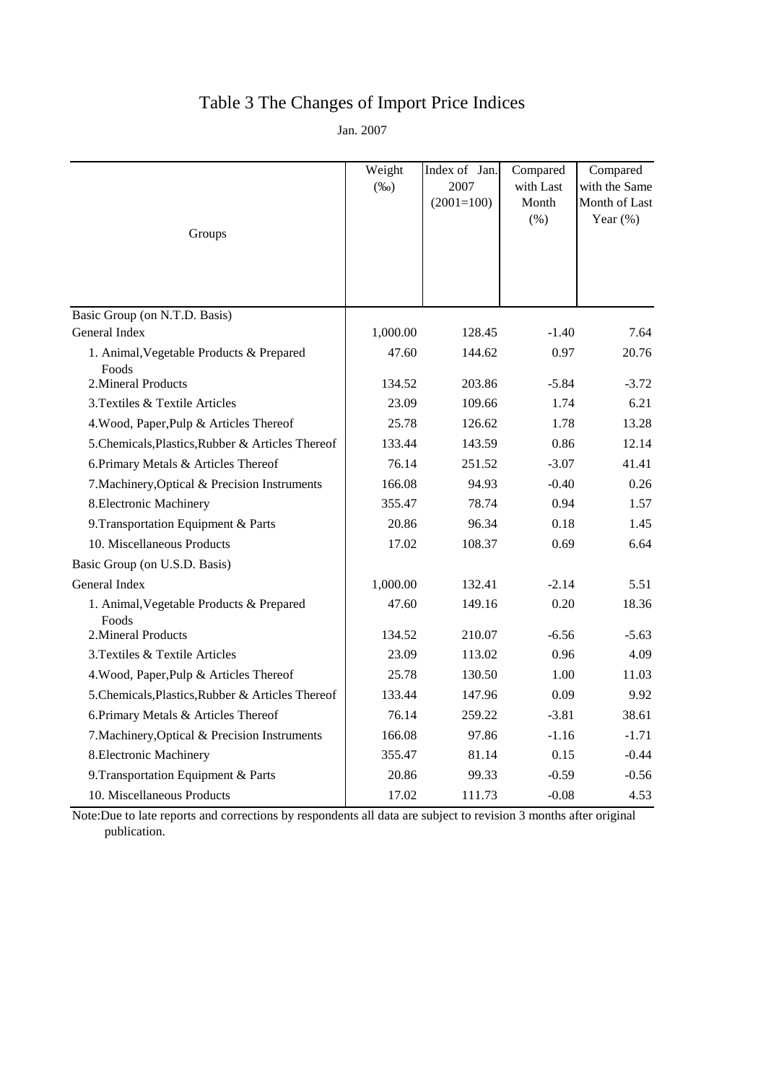## Table 3 The Changes of Import Price Indices

Jan. 2007

| Groups                                            | Weight<br>$(\%0)$ | Index of Jan.<br>2007<br>$(2001=100)$ | Compared<br>with Last<br>Month<br>(% ) | Compared<br>with the Same<br>Month of Last<br>Year $(\%)$ |
|---------------------------------------------------|-------------------|---------------------------------------|----------------------------------------|-----------------------------------------------------------|
| Basic Group (on N.T.D. Basis)                     |                   |                                       |                                        |                                                           |
| General Index                                     | 1,000.00          | 128.45                                | $-1.40$                                | 7.64                                                      |
| 1. Animal, Vegetable Products & Prepared<br>Foods | 47.60             | 144.62                                | 0.97                                   | 20.76                                                     |
| 2. Mineral Products                               | 134.52            | 203.86                                | $-5.84$                                | $-3.72$                                                   |
| 3. Textiles & Textile Articles                    | 23.09             | 109.66                                | 1.74                                   | 6.21                                                      |
| 4. Wood, Paper, Pulp & Articles Thereof           | 25.78             | 126.62                                | 1.78                                   | 13.28                                                     |
| 5. Chemicals, Plastics, Rubber & Articles Thereof | 133.44            | 143.59                                | 0.86                                   | 12.14                                                     |
| 6. Primary Metals & Articles Thereof              | 76.14             | 251.52                                | $-3.07$                                | 41.41                                                     |
| 7. Machinery, Optical & Precision Instruments     | 166.08            | 94.93                                 | $-0.40$                                | 0.26                                                      |
| 8. Electronic Machinery                           | 355.47            | 78.74                                 | 0.94                                   | 1.57                                                      |
| 9. Transportation Equipment & Parts               | 20.86             | 96.34                                 | 0.18                                   | 1.45                                                      |
| 10. Miscellaneous Products                        | 17.02             | 108.37                                | 0.69                                   | 6.64                                                      |
| Basic Group (on U.S.D. Basis)                     |                   |                                       |                                        |                                                           |
| General Index                                     | 1,000.00          | 132.41                                | $-2.14$                                | 5.51                                                      |
| 1. Animal, Vegetable Products & Prepared<br>Foods | 47.60             | 149.16                                | 0.20                                   | 18.36                                                     |
| 2. Mineral Products                               | 134.52            | 210.07                                | $-6.56$                                | $-5.63$                                                   |
| 3. Textiles & Textile Articles                    | 23.09             | 113.02                                | 0.96                                   | 4.09                                                      |
| 4. Wood, Paper, Pulp & Articles Thereof           | 25.78             | 130.50                                | 1.00                                   | 11.03                                                     |
| 5. Chemicals, Plastics, Rubber & Articles Thereof | 133.44            | 147.96                                | 0.09                                   | 9.92                                                      |
| 6. Primary Metals & Articles Thereof              | 76.14             | 259.22                                | $-3.81$                                | 38.61                                                     |
| 7. Machinery, Optical & Precision Instruments     | 166.08            | 97.86                                 | $-1.16$                                | $-1.71$                                                   |
| 8. Electronic Machinery                           | 355.47            | 81.14                                 | 0.15                                   | $-0.44$                                                   |
| 9. Transportation Equipment & Parts               | 20.86             | 99.33                                 | $-0.59$                                | $-0.56$                                                   |
| 10. Miscellaneous Products                        | 17.02             | 111.73                                | $-0.08$                                | 4.53                                                      |

Note:Due to late reports and corrections by respondents all data are subject to revision 3 months after original publication.